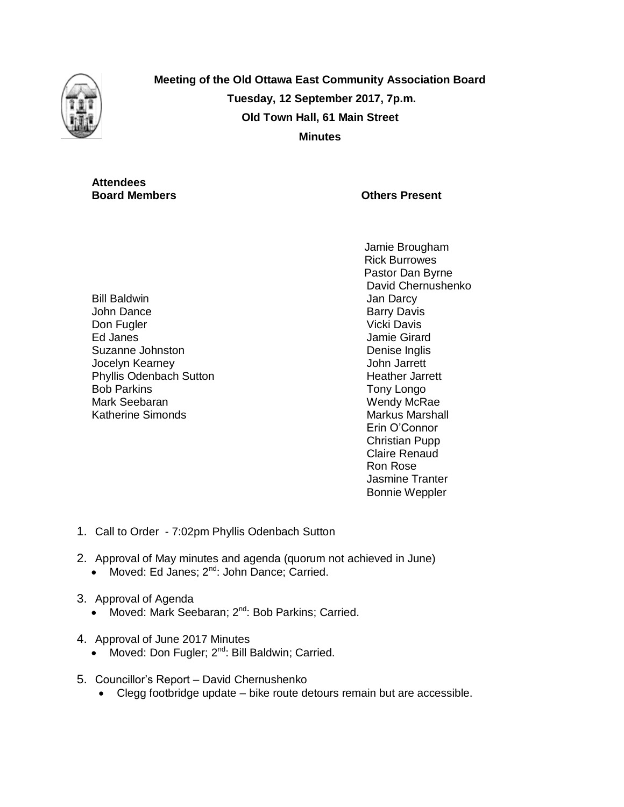

**Meeting of the Old Ottawa East Community Association Board Tuesday, 12 September 2017, 7p.m. Old Town Hall, 61 Main Street Minutes**

# **Attendees**

# **Board Members Community Community Community Community Community Community Community Community Community Community Community Community Community Community Community Community Community Community Community Community Communi**

Bill Baldwin John Dance Don Fugler Ed Janes Suzanne Johnston Jocelyn Kearney Phyllis Odenbach Sutton Bob Parkins Mark Seebaran Katherine Simonds

Jamie Brougham Rick Burrowes Pastor Dan Byrne David Chernushenko Jan Darcy Barry Davis Vicki Davis Jamie Girard Denise Inglis John Jarrett Heather Jarrett Tony Longo Wendy McRae Markus Marshall Erin O'Connor Christian Pupp Claire Renaud Ron Rose Jasmine Tranter Bonnie Weppler

- 1. Call to Order 7:02pm Phyllis Odenbach Sutton
- 2. Approval of May minutes and agenda (quorum not achieved in June)
	- Moved: Ed Janes;  $2^{nd}$ : John Dance; Carried.
- 3. Approval of Agenda
	- Moved: Mark Seebaran; 2<sup>nd</sup>: Bob Parkins; Carried.
- 4. Approval of June 2017 Minutes
	- Moved: Don Fugler;  $2^{nd}$ : Bill Baldwin; Carried.
- 5. Councillor's Report David Chernushenko
	- Clegg footbridge update bike route detours remain but are accessible.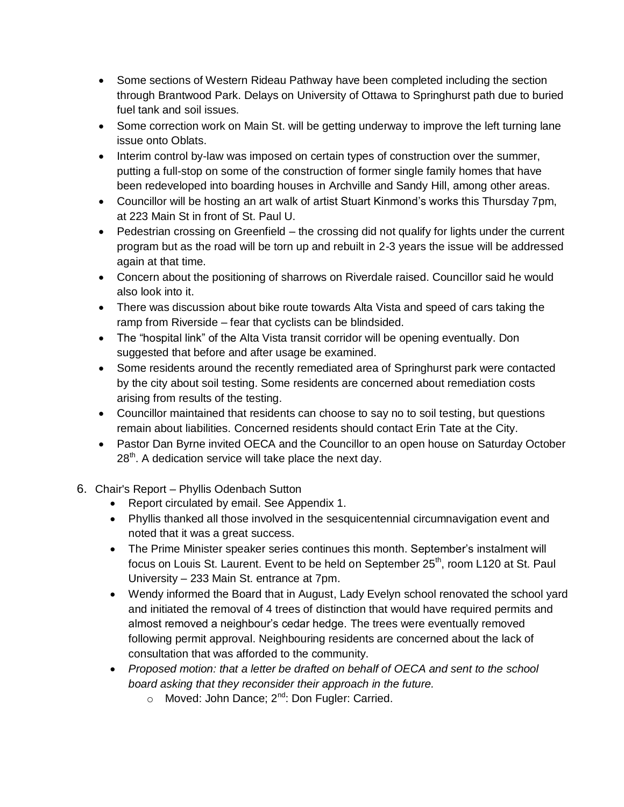- Some sections of Western Rideau Pathway have been completed including the section through Brantwood Park. Delays on University of Ottawa to Springhurst path due to buried fuel tank and soil issues.
- Some correction work on Main St. will be getting underway to improve the left turning lane issue onto Oblats.
- Interim control by-law was imposed on certain types of construction over the summer, putting a full-stop on some of the construction of former single family homes that have been redeveloped into boarding houses in Archville and Sandy Hill, among other areas.
- Councillor will be hosting an art walk of artist Stuart Kinmond's works this Thursday 7pm, at 223 Main St in front of St. Paul U.
- Pedestrian crossing on Greenfield the crossing did not qualify for lights under the current program but as the road will be torn up and rebuilt in 2-3 years the issue will be addressed again at that time.
- Concern about the positioning of sharrows on Riverdale raised. Councillor said he would also look into it.
- There was discussion about bike route towards Alta Vista and speed of cars taking the ramp from Riverside – fear that cyclists can be blindsided.
- The "hospital link" of the Alta Vista transit corridor will be opening eventually. Don suggested that before and after usage be examined.
- Some residents around the recently remediated area of Springhurst park were contacted by the city about soil testing. Some residents are concerned about remediation costs arising from results of the testing.
- Councillor maintained that residents can choose to say no to soil testing, but questions remain about liabilities. Concerned residents should contact Erin Tate at the City.
- Pastor Dan Byrne invited OECA and the Councillor to an open house on Saturday October  $28<sup>th</sup>$ . A dedication service will take place the next day.
- 6. Chair's Report Phyllis Odenbach Sutton
	- Report circulated by email. See Appendix 1.
	- Phyllis thanked all those involved in the sesquicentennial circumnavigation event and noted that it was a great success.
	- The Prime Minister speaker series continues this month. September's instalment will focus on Louis St. Laurent. Event to be held on September 25<sup>th</sup>, room L120 at St. Paul University – 233 Main St. entrance at 7pm.
	- Wendy informed the Board that in August, Lady Evelyn school renovated the school yard and initiated the removal of 4 trees of distinction that would have required permits and almost removed a neighbour's cedar hedge. The trees were eventually removed following permit approval. Neighbouring residents are concerned about the lack of consultation that was afforded to the community.
	- *Proposed motion: that a letter be drafted on behalf of OECA and sent to the school board asking that they reconsider their approach in the future.* 
		- $\circ$  Moved: John Dance;  $2^{nd}$ : Don Fugler: Carried.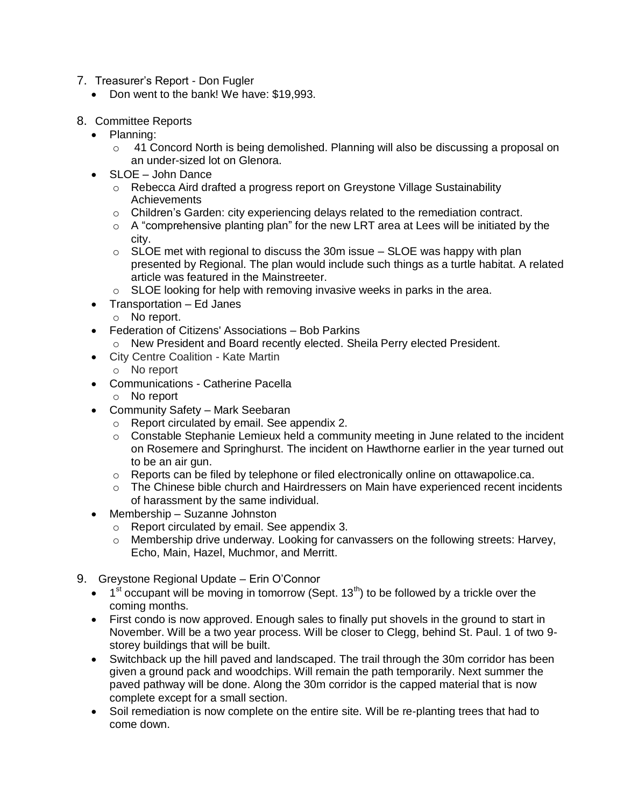- 7. Treasurer's Report Don Fugler
	- Don went to the bank! We have: \$19,993.
- 8. Committee Reports
	- Planning:
		- $\circ$  41 Concord North is being demolished. Planning will also be discussing a proposal on an under-sized lot on Glenora.
	- SLOE John Dance
		- $\circ$  Rebecca Aird drafted a progress report on Greystone Village Sustainability Achievements
		- o Children's Garden: city experiencing delays related to the remediation contract.
		- o A "comprehensive planting plan" for the new LRT area at Lees will be initiated by the city.
		- $\circ$  SLOE met with regional to discuss the 30m issue SLOE was happy with plan presented by Regional. The plan would include such things as a turtle habitat. A related article was featured in the Mainstreeter.
		- o SLOE looking for help with removing invasive weeks in parks in the area.
	- Transportation Ed Janes
		- o No report.
	- Federation of Citizens' Associations Bob Parkins
		- o New President and Board recently elected. Sheila Perry elected President.
	- City Centre Coalition Kate Martin
		- o No report
	- Communications Catherine Pacella
		- o No report
	- Community Safety Mark Seebaran
		- o Report circulated by email. See appendix 2.
		- $\circ$  Constable Stephanie Lemieux held a community meeting in June related to the incident on Rosemere and Springhurst. The incident on Hawthorne earlier in the year turned out to be an air gun.
		- o Reports can be filed by telephone or filed electronically online on ottawapolice.ca.
		- o The Chinese bible church and Hairdressers on Main have experienced recent incidents of harassment by the same individual.
	- Membership Suzanne Johnston
		- o Report circulated by email. See appendix 3.
		- o Membership drive underway. Looking for canvassers on the following streets: Harvey, Echo, Main, Hazel, Muchmor, and Merritt.
- 9. Greystone Regional Update Erin O'Connor
	- $\bullet$  1<sup>st</sup> occupant will be moving in tomorrow (Sept. 13<sup>th</sup>) to be followed by a trickle over the coming months.
	- First condo is now approved. Enough sales to finally put shovels in the ground to start in November. Will be a two year process. Will be closer to Clegg, behind St. Paul. 1 of two 9 storey buildings that will be built.
	- Switchback up the hill paved and landscaped. The trail through the 30m corridor has been given a ground pack and woodchips. Will remain the path temporarily. Next summer the paved pathway will be done. Along the 30m corridor is the capped material that is now complete except for a small section.
	- Soil remediation is now complete on the entire site. Will be re-planting trees that had to come down.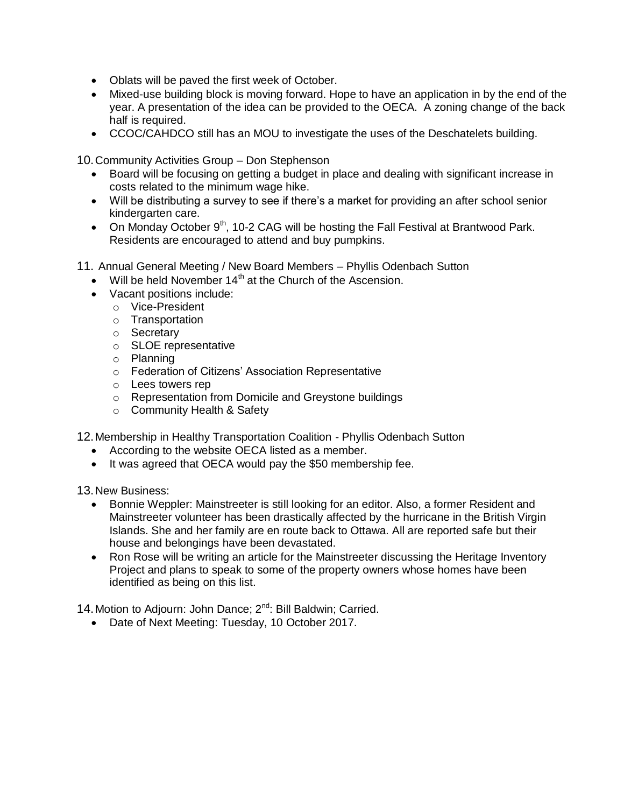- Oblats will be paved the first week of October.
- Mixed-use building block is moving forward. Hope to have an application in by the end of the year. A presentation of the idea can be provided to the OECA. A zoning change of the back half is required.
- CCOC/CAHDCO still has an MOU to investigate the uses of the Deschatelets building.

10.Community Activities Group – Don Stephenson

- Board will be focusing on getting a budget in place and dealing with significant increase in costs related to the minimum wage hike.
- Will be distributing a survey to see if there's a market for providing an after school senior kindergarten care.
- On Monday October  $9<sup>th</sup>$ , 10-2 CAG will be hosting the Fall Festival at Brantwood Park. Residents are encouraged to attend and buy pumpkins.
- 11. Annual General Meeting / New Board Members Phyllis Odenbach Sutton
	- Will be held November 14<sup>th</sup> at the Church of the Ascension.
	- Vacant positions include:
		- o Vice-President
		- o Transportation
		- o Secretary
		- o SLOE representative
		- o Planning
		- o Federation of Citizens' Association Representative
		- o Lees towers rep
		- o Representation from Domicile and Greystone buildings
		- o Community Health & Safety

12.Membership in Healthy Transportation Coalition - Phyllis Odenbach Sutton

- According to the website OECA listed as a member.
- It was agreed that OECA would pay the \$50 membership fee.

13.New Business:

- Bonnie Weppler: Mainstreeter is still looking for an editor. Also, a former Resident and Mainstreeter volunteer has been drastically affected by the hurricane in the British Virgin Islands. She and her family are en route back to Ottawa. All are reported safe but their house and belongings have been devastated.
- Ron Rose will be writing an article for the Mainstreeter discussing the Heritage Inventory Project and plans to speak to some of the property owners whose homes have been identified as being on this list.

14. Motion to Adjourn: John Dance; 2<sup>nd</sup>: Bill Baldwin; Carried.

Date of Next Meeting: Tuesday, 10 October 2017.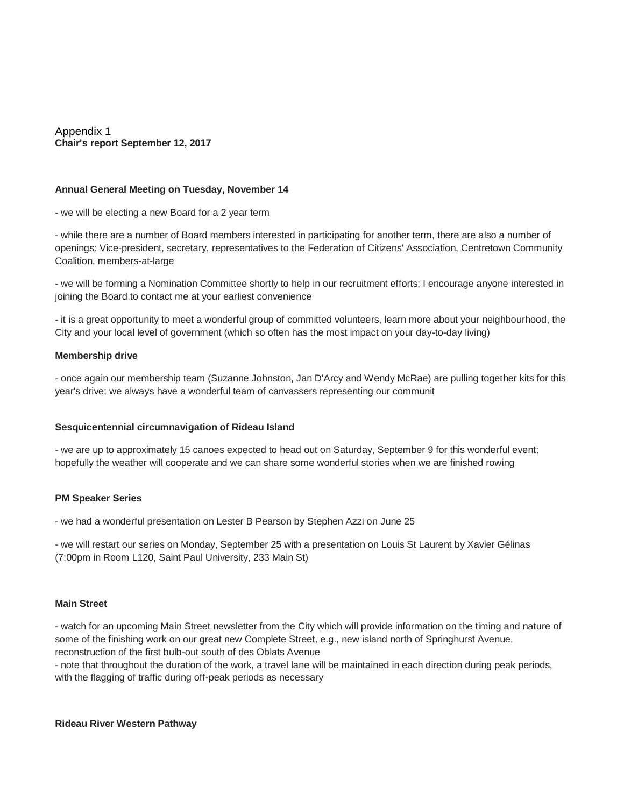Appendix 1 **Chair's report September 12, 2017**

#### **Annual General Meeting on Tuesday, November 14**

- we will be electing a new Board for a 2 year term

- while there are a number of Board members interested in participating for another term, there are also a number of openings: Vice-president, secretary, representatives to the Federation of Citizens' Association, Centretown Community Coalition, members-at-large

- we will be forming a Nomination Committee shortly to help in our recruitment efforts; I encourage anyone interested in joining the Board to contact me at your earliest convenience

- it is a great opportunity to meet a wonderful group of committed volunteers, learn more about your neighbourhood, the City and your local level of government (which so often has the most impact on your day-to-day living)

#### **Membership drive**

- once again our membership team (Suzanne Johnston, Jan D'Arcy and Wendy McRae) are pulling together kits for this year's drive; we always have a wonderful team of canvassers representing our communit

# **Sesquicentennial circumnavigation of Rideau Island**

- we are up to approximately 15 canoes expected to head out on Saturday, September 9 for this wonderful event; hopefully the weather will cooperate and we can share some wonderful stories when we are finished rowing

# **PM Speaker Series**

- we had a wonderful presentation on Lester B Pearson by Stephen Azzi on June 25

- we will restart our series on Monday, September 25 with a presentation on Louis St Laurent by Xavier Gélinas (7:00pm in Room L120, Saint Paul University, 233 Main St)

#### **Main Street**

- watch for an upcoming Main Street newsletter from the City which will provide information on the timing and nature of some of the finishing work on our great new Complete Street, e.g., new island north of Springhurst Avenue, reconstruction of the first bulb-out south of des Oblats Avenue

- note that throughout the duration of the work, a travel lane will be maintained in each direction during peak periods, with the flagging of traffic during off-peak periods as necessary

#### **Rideau River Western Pathway**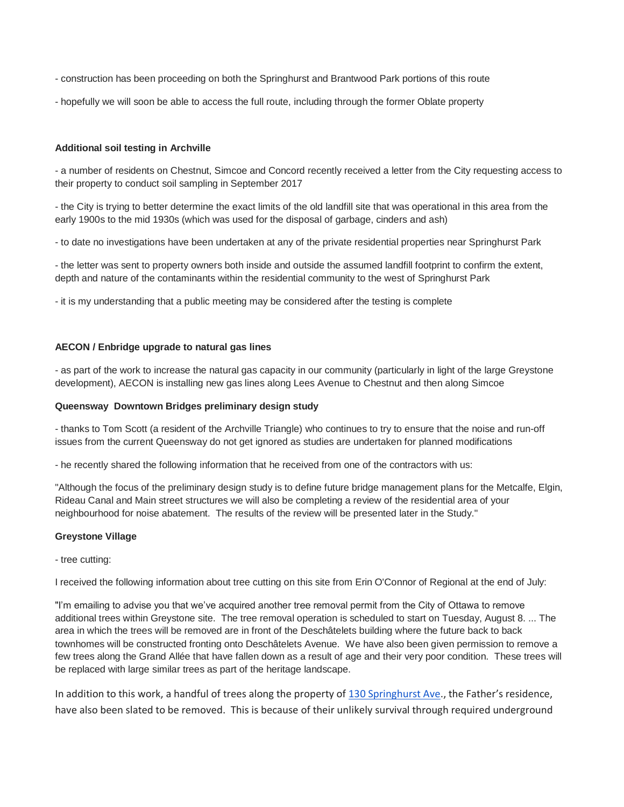- construction has been proceeding on both the Springhurst and Brantwood Park portions of this route
- hopefully we will soon be able to access the full route, including through the former Oblate property

#### **Additional soil testing in Archville**

- a number of residents on Chestnut, Simcoe and Concord recently received a letter from the City requesting access to their property to conduct soil sampling in September 2017

- the City is trying to better determine the exact limits of the old landfill site that was operational in this area from the early 1900s to the mid 1930s (which was used for the disposal of garbage, cinders and ash)

- to date no investigations have been undertaken at any of the private residential properties near Springhurst Park

- the letter was sent to property owners both inside and outside the assumed landfill footprint to confirm the extent, depth and nature of the contaminants within the residential community to the west of Springhurst Park

- it is my understanding that a public meeting may be considered after the testing is complete

#### **AECON / Enbridge upgrade to natural gas lines**

- as part of the work to increase the natural gas capacity in our community (particularly in light of the large Greystone development), AECON is installing new gas lines along Lees Avenue to Chestnut and then along Simcoe

#### **Queensway Downtown Bridges preliminary design study**

- thanks to Tom Scott (a resident of the Archville Triangle) who continues to try to ensure that the noise and run-off issues from the current Queensway do not get ignored as studies are undertaken for planned modifications

- he recently shared the following information that he received from one of the contractors with us:

"Although the focus of the preliminary design study is to define future bridge management plans for the Metcalfe, Elgin, Rideau Canal and Main street structures we will also be completing a review of the residential area of your neighbourhood for noise abatement. The results of the review will be presented later in the Study."

#### **Greystone Village**

- tree cutting:

I received the following information about tree cutting on this site from Erin O'Connor of Regional at the end of July:

"I'm emailing to advise you that we've acquired another tree removal permit from the City of Ottawa to remove additional trees within Greystone site. The tree removal operation is scheduled to start on Tuesday, August 8. ... The area in which the trees will be removed are in front of the Deschâtelets building where the future back to back townhomes will be constructed fronting onto Deschâtelets Avenue. We have also been given permission to remove a few trees along the Grand Allée that have fallen down as a result of age and their very poor condition. These trees will be replaced with large similar trees as part of the heritage landscape.

In addition to this work, a handful of trees along the property of [130 Springhurst Ave](https://maps.google.com/?q=130+Springhurst+Ave&entry=gmail&source=g)., the Father's residence, have also been slated to be removed. This is because of their unlikely survival through required underground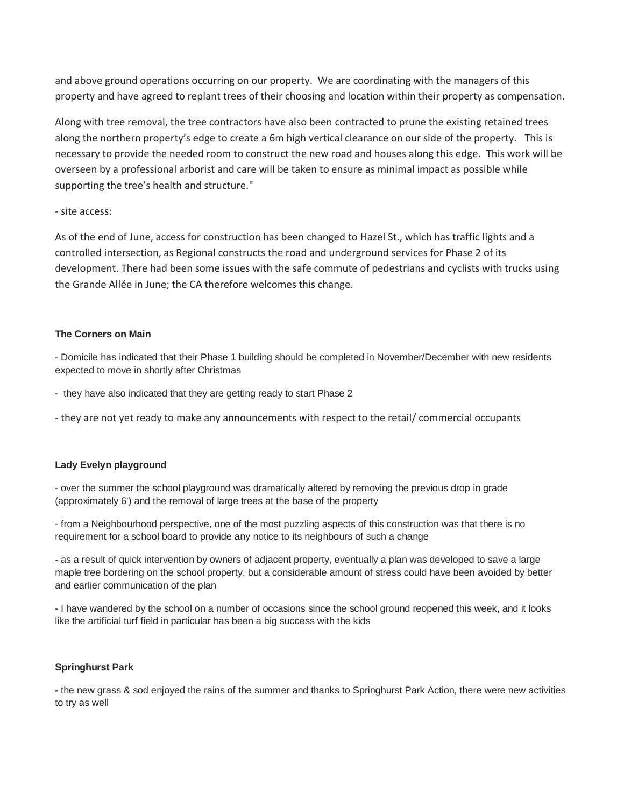and above ground operations occurring on our property. We are coordinating with the managers of this property and have agreed to replant trees of their choosing and location within their property as compensation.

Along with tree removal, the tree contractors have also been contracted to prune the existing retained trees along the northern property's edge to create a 6m high vertical clearance on our side of the property. This is necessary to provide the needed room to construct the new road and houses along this edge. This work will be overseen by a professional arborist and care will be taken to ensure as minimal impact as possible while supporting the tree's health and structure."

# - site access:

As of the end of June, access for construction has been changed to Hazel St., which has traffic lights and a controlled intersection, as Regional constructs the road and underground services for Phase 2 of its development. There had been some issues with the safe commute of pedestrians and cyclists with trucks using the Grande Allée in June; the CA therefore welcomes this change.

# **The Corners on Main**

- Domicile has indicated that their Phase 1 building should be completed in November/December with new residents expected to move in shortly after Christmas

- they have also indicated that they are getting ready to start Phase 2

- they are not yet ready to make any announcements with respect to the retail/ commercial occupants

# **Lady Evelyn playground**

- over the summer the school playground was dramatically altered by removing the previous drop in grade (approximately 6') and the removal of large trees at the base of the property

- from a Neighbourhood perspective, one of the most puzzling aspects of this construction was that there is no requirement for a school board to provide any notice to its neighbours of such a change

- as a result of quick intervention by owners of adjacent property, eventually a plan was developed to save a large maple tree bordering on the school property, but a considerable amount of stress could have been avoided by better and earlier communication of the plan

- I have wandered by the school on a number of occasions since the school ground reopened this week, and it looks like the artificial turf field in particular has been a big success with the kids

# **Springhurst Park**

**-** the new grass & sod enjoyed the rains of the summer and thanks to Springhurst Park Action, there were new activities to try as well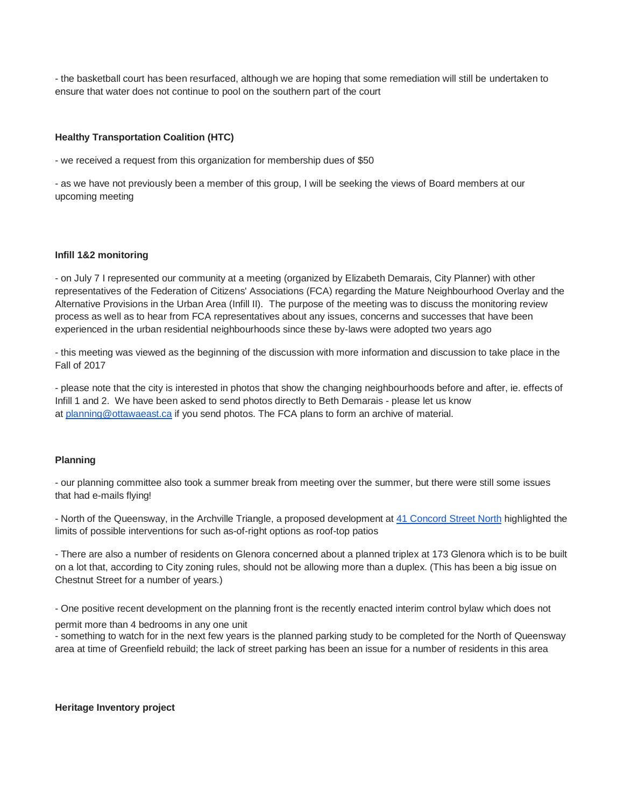- the basketball court has been resurfaced, although we are hoping that some remediation will still be undertaken to ensure that water does not continue to pool on the southern part of the court

# **Healthy Transportation Coalition (HTC)**

- we received a request from this organization for membership dues of \$50

- as we have not previously been a member of this group, I will be seeking the views of Board members at our upcoming meeting

# **Infill 1&2 monitoring**

- on July 7 I represented our community at a meeting (organized by Elizabeth Demarais, City Planner) with other representatives of the Federation of Citizens' Associations (FCA) regarding the Mature Neighbourhood Overlay and the Alternative Provisions in the Urban Area (Infill II). The purpose of the meeting was to discuss the monitoring review process as well as to hear from FCA representatives about any issues, concerns and successes that have been experienced in the urban residential neighbourhoods since these by-laws were adopted two years ago

- this meeting was viewed as the beginning of the discussion with more information and discussion to take place in the Fall of 2017

- please note that the city is interested in photos that show the changing neighbourhoods before and after, ie. effects of Infill 1 and 2. We have been asked to send photos directly to Beth Demarais - please let us know at [planning@ottawaeast.ca](mailto:planning@ottawaeast.ca) if you send photos. The FCA plans to form an archive of material.

# **Planning**

- our planning committee also took a summer break from meeting over the summer, but there were still some issues that had e-mails flying!

- North of the Queensway, in the Archville Triangle, a proposed development at [41 Concord Street North](https://maps.google.com/?q=41+Concord+Street+North&entry=gmail&source=g) highlighted the limits of possible interventions for such as-of-right options as roof-top patios

- There are also a number of residents on Glenora concerned about a planned triplex at 173 Glenora which is to be built on a lot that, according to City zoning rules, should not be allowing more than a duplex. (This has been a big issue on Chestnut Street for a number of years.)

- One positive recent development on the planning front is the recently enacted interim control bylaw which does not

permit more than 4 bedrooms in any one unit

- something to watch for in the next few years is the planned parking study to be completed for the North of Queensway area at time of Greenfield rebuild; the lack of street parking has been an issue for a number of residents in this area

# **Heritage Inventory project**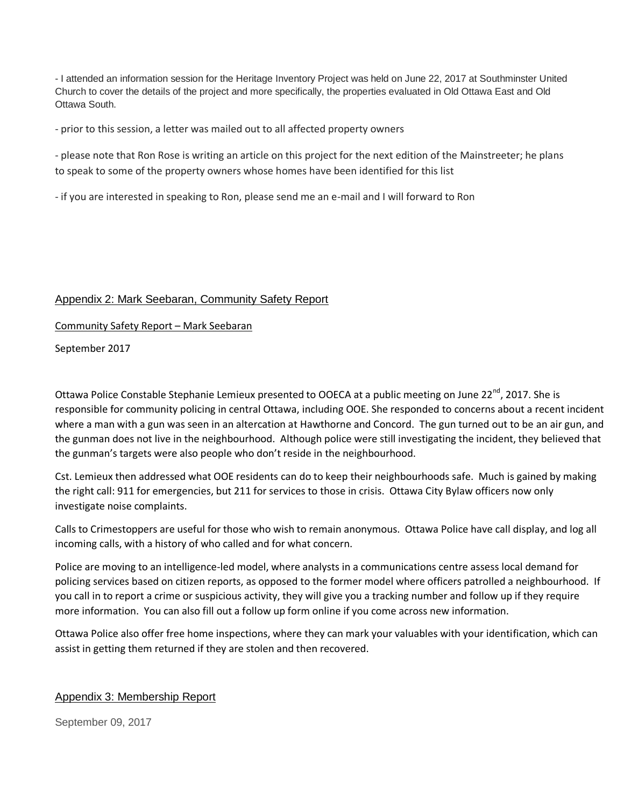- I attended an information session for the Heritage Inventory Project was held on June 22, 2017 at Southminster United Church to cover the details of the project and more specifically, the properties evaluated in Old Ottawa East and Old Ottawa South.

- prior to this session, a letter was mailed out to all affected property owners

- please note that Ron Rose is writing an article on this project for the next edition of the Mainstreeter; he plans to speak to some of the property owners whose homes have been identified for this list

- if you are interested in speaking to Ron, please send me an e-mail and I will forward to Ron

# Appendix 2: Mark Seebaran, Community Safety Report

Community Safety Report – Mark Seebaran

September 2017

Ottawa Police Constable Stephanie Lemieux presented to OOECA at a public meeting on June 22<sup>nd</sup>, 2017. She is responsible for community policing in central Ottawa, including OOE. She responded to concerns about a recent incident where a man with a gun was seen in an altercation at Hawthorne and Concord. The gun turned out to be an air gun, and the gunman does not live in the neighbourhood. Although police were still investigating the incident, they believed that the gunman's targets were also people who don't reside in the neighbourhood.

Cst. Lemieux then addressed what OOE residents can do to keep their neighbourhoods safe. Much is gained by making the right call: 911 for emergencies, but 211 for services to those in crisis. Ottawa City Bylaw officers now only investigate noise complaints.

Calls to Crimestoppers are useful for those who wish to remain anonymous. Ottawa Police have call display, and log all incoming calls, with a history of who called and for what concern.

Police are moving to an intelligence-led model, where analysts in a communications centre assess local demand for policing services based on citizen reports, as opposed to the former model where officers patrolled a neighbourhood. If you call in to report a crime or suspicious activity, they will give you a tracking number and follow up if they require more information. You can also fill out a follow up form online if you come across new information.

Ottawa Police also offer free home inspections, where they can mark your valuables with your identification, which can assist in getting them returned if they are stolen and then recovered.

# Appendix 3: Membership Report

September 09, 2017